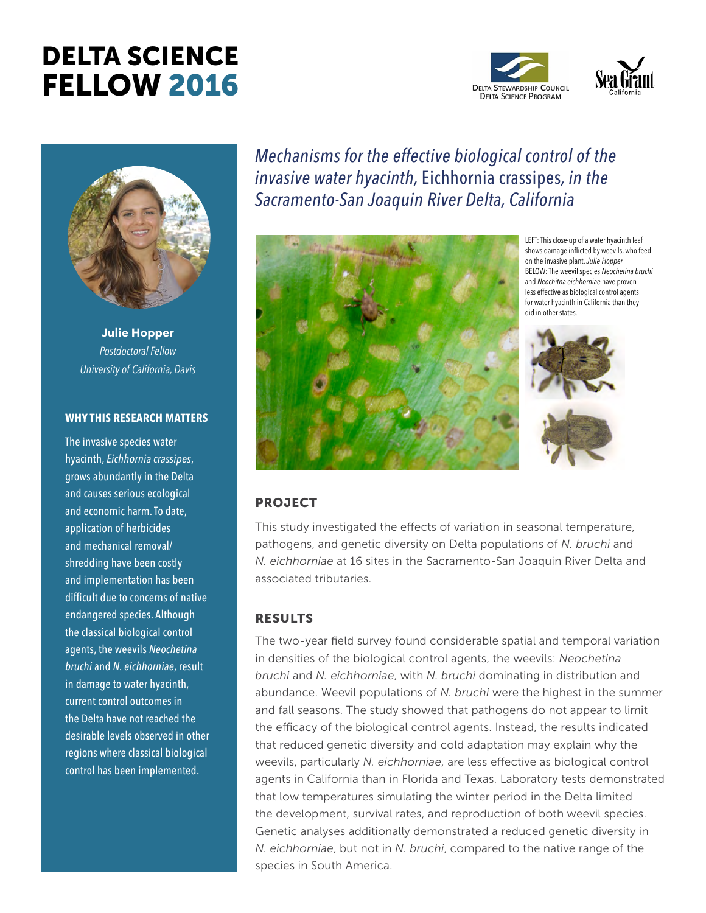# DELTA SCIENCE FELLOW 2016





**Julie Hopper** *Postdoctoral Fellow University of California, Davis*

#### **WHY THIS RESEARCH MATTERS**

The invasive species water hyacinth, *Eichhornia crassipes*, grows abundantly in the Delta and causes serious ecological and economic harm. To date, application of herbicides and mechanical removal/ shredding have been costly and implementation has been difficult due to concerns of native endangered species. Although the classical biological control agents, the weevils *Neochetina bruchi* and *N. eichhorniae*, result in damage to water hyacinth, current control outcomes in the Delta have not reached the desirable levels observed in other regions where classical biological control has been implemented.

*Mechanisms for the effective biological control of the invasive water hyacinth,* Eichhornia crassipes*, in the Sacramento-San Joaquin River Delta, California*



LEFT: This close-up of a water hyacinth leaf shows damage inflicted by weevils, who feed on the invasive plant. *Julie Hopper*  BELOW: The weevil species *Neochetina bruchi* and *Neochitna eichhorniae* have proven less effective as biological control agents for water hyacinth in California than they did in other states.



#### PROJECT

This study investigated the effects of variation in seasonal temperature, pathogens, and genetic diversity on Delta populations of *N. bruchi* and *N. eichhorniae* at 16 sites in the Sacramento-San Joaquin River Delta and associated tributaries.

### **RESULTS**

The two-year field survey found considerable spatial and temporal variation in densities of the biological control agents, the weevils: *Neochetina bruchi* and *N. eichhorniae*, with *N. bruchi* dominating in distribution and abundance. Weevil populations of *N. bruchi* were the highest in the summer and fall seasons. The study showed that pathogens do not appear to limit the efficacy of the biological control agents. Instead, the results indicated that reduced genetic diversity and cold adaptation may explain why the weevils, particularly *N. eichhorniae*, are less effective as biological control agents in California than in Florida and Texas. Laboratory tests demonstrated that low temperatures simulating the winter period in the Delta limited the development, survival rates, and reproduction of both weevil species. Genetic analyses additionally demonstrated a reduced genetic diversity in *N. eichhorniae*, but not in *N. bruchi*, compared to the native range of the species in South America.